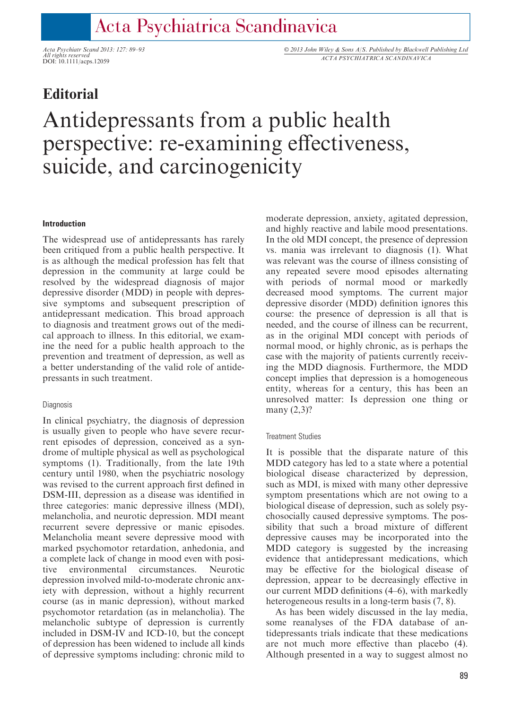## Acta Psychiatrica Scandinavica

All rights reserved

Acta Psychiatr Scand 2013: 127: 89–93 © 2013 John Wiley & Sons A/S. Published by Blackwell Publishing Ltd All rights reserved<br>DOI: 10.1111/acps.12059<br>DOI: 10.1111/acps.12059

### **Editorial**

# Antidepressants from a public health perspective: re-examining effectiveness, suicide, and carcinogenicity

#### Introduction

The widespread use of antidepressants has rarely been critiqued from a public health perspective. It is as although the medical profession has felt that depression in the community at large could be resolved by the widespread diagnosis of major depressive disorder (MDD) in people with depressive symptoms and subsequent prescription of antidepressant medication. This broad approach to diagnosis and treatment grows out of the medical approach to illness. In this editorial, we examine the need for a public health approach to the prevention and treatment of depression, as well as a better understanding of the valid role of antidepressants in such treatment.

#### Diagnosis

In clinical psychiatry, the diagnosis of depression is usually given to people who have severe recurrent episodes of depression, conceived as a syndrome of multiple physical as well as psychological symptoms (1). Traditionally, from the late 19th century until 1980, when the psychiatric nosology was revised to the current approach first defined in DSM-III, depression as a disease was identified in three categories: manic depressive illness (MDI), melancholia, and neurotic depression. MDI meant recurrent severe depressive or manic episodes. Melancholia meant severe depressive mood with marked psychomotor retardation, anhedonia, and a complete lack of change in mood even with positive environmental circumstances. Neurotic depression involved mild-to-moderate chronic anxiety with depression, without a highly recurrent course (as in manic depression), without marked psychomotor retardation (as in melancholia). The melancholic subtype of depression is currently included in DSM-IV and ICD-10, but the concept of depression has been widened to include all kinds of depressive symptoms including: chronic mild to

moderate depression, anxiety, agitated depression, and highly reactive and labile mood presentations. In the old MDI concept, the presence of depression vs. mania was irrelevant to diagnosis (1). What was relevant was the course of illness consisting of any repeated severe mood episodes alternating with periods of normal mood or markedly decreased mood symptoms. The current major depressive disorder (MDD) definition ignores this course: the presence of depression is all that is needed, and the course of illness can be recurrent, as in the original MDI concept with periods of normal mood, or highly chronic, as is perhaps the case with the majority of patients currently receiving the MDD diagnosis. Furthermore, the MDD concept implies that depression is a homogeneous entity, whereas for a century, this has been an unresolved matter: Is depression one thing or many (2,3)?

#### Treatment Studies

It is possible that the disparate nature of this MDD category has led to a state where a potential biological disease characterized by depression, such as MDI, is mixed with many other depressive symptom presentations which are not owing to a biological disease of depression, such as solely psychosocially caused depressive symptoms. The possibility that such a broad mixture of different depressive causes may be incorporated into the MDD category is suggested by the increasing evidence that antidepressant medications, which may be effective for the biological disease of depression, appear to be decreasingly effective in our current MDD definitions (4–6), with markedly heterogeneous results in a long-term basis (7, 8).

As has been widely discussed in the lay media, some reanalyses of the FDA database of antidepressants trials indicate that these medications are not much more effective than placebo (4). Although presented in a way to suggest almost no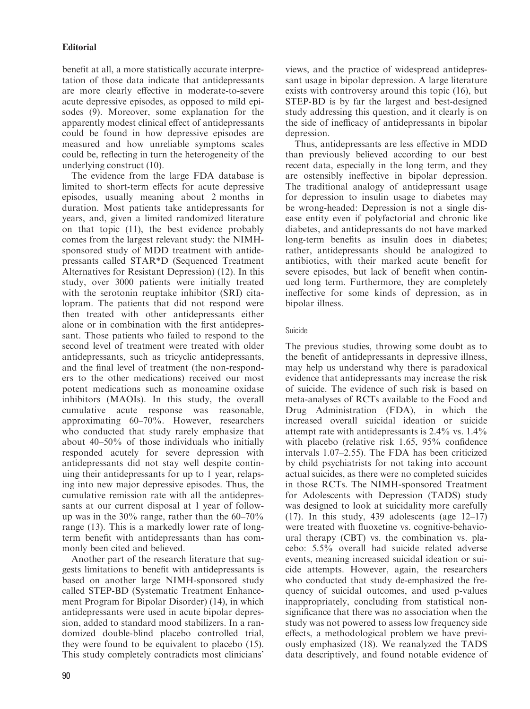#### **Editorial**

benefit at all, a more statistically accurate interpretation of those data indicate that antidepressants are more clearly effective in moderate-to-severe acute depressive episodes, as opposed to mild episodes (9). Moreover, some explanation for the apparently modest clinical effect of antidepressants could be found in how depressive episodes are measured and how unreliable symptoms scales could be, reflecting in turn the heterogeneity of the underlying construct (10).

The evidence from the large FDA database is limited to short-term effects for acute depressive episodes, usually meaning about 2 months in duration. Most patients take antidepressants for years, and, given a limited randomized literature on that topic (11), the best evidence probably comes from the largest relevant study: the NIMHsponsored study of MDD treatment with antidepressants called STAR\*D (Sequenced Treatment Alternatives for Resistant Depression) (12). In this study, over 3000 patients were initially treated with the serotonin reuptake inhibitor (SRI) citalopram. The patients that did not respond were then treated with other antidepressants either alone or in combination with the first antidepressant. Those patients who failed to respond to the second level of treatment were treated with older antidepressants, such as tricyclic antidepressants, and the final level of treatment (the non-responders to the other medications) received our most potent medications such as monoamine oxidase inhibitors (MAOIs). In this study, the overall cumulative acute response was reasonable, approximating 60–70%. However, researchers who conducted that study rarely emphasize that about 40–50% of those individuals who initially responded acutely for severe depression with antidepressants did not stay well despite continuing their antidepressants for up to 1 year, relapsing into new major depressive episodes. Thus, the cumulative remission rate with all the antidepressants at our current disposal at 1 year of followup was in the 30% range, rather than the 60–70% range (13). This is a markedly lower rate of longterm benefit with antidepressants than has commonly been cited and believed.

Another part of the research literature that suggests limitations to benefit with antidepressants is based on another large NIMH-sponsored study called STEP-BD (Systematic Treatment Enhancement Program for Bipolar Disorder) (14), in which antidepressants were used in acute bipolar depression, added to standard mood stabilizers. In a randomized double-blind placebo controlled trial, they were found to be equivalent to placebo (15). This study completely contradicts most clinicians' views, and the practice of widespread antidepressant usage in bipolar depression. A large literature exists with controversy around this topic (16), but STEP-BD is by far the largest and best-designed study addressing this question, and it clearly is on the side of inefficacy of antidepressants in bipolar depression.

Thus, antidepressants are less effective in MDD than previously believed according to our best recent data, especially in the long term, and they are ostensibly ineffective in bipolar depression. The traditional analogy of antidepressant usage for depression to insulin usage to diabetes may be wrong-headed: Depression is not a single disease entity even if polyfactorial and chronic like diabetes, and antidepressants do not have marked long-term benefits as insulin does in diabetes; rather, antidepressants should be analogized to antibiotics, with their marked acute benefit for severe episodes, but lack of benefit when continued long term. Furthermore, they are completely ineffective for some kinds of depression, as in bipolar illness.

#### Suicide

The previous studies, throwing some doubt as to the benefit of antidepressants in depressive illness, may help us understand why there is paradoxical evidence that antidepressants may increase the risk of suicide. The evidence of such risk is based on meta-analyses of RCTs available to the Food and Drug Administration (FDA), in which the increased overall suicidal ideation or suicide attempt rate with antidepressants is 2.4% vs. 1.4% with placebo (relative risk 1.65, 95% confidence intervals 1.07–2.55). The FDA has been criticized by child psychiatrists for not taking into account actual suicides, as there were no completed suicides in those RCTs. The NIMH-sponsored Treatment for Adolescents with Depression (TADS) study was designed to look at suicidality more carefully (17). In this study, 439 adolescents (age  $12-17$ ) were treated with fluoxetine vs. cognitive-behavioural therapy (CBT) vs. the combination vs. placebo: 5.5% overall had suicide related adverse events, meaning increased suicidal ideation or suicide attempts. However, again, the researchers who conducted that study de-emphasized the frequency of suicidal outcomes, and used p-values inappropriately, concluding from statistical nonsignificance that there was no association when the study was not powered to assess low frequency side effects, a methodological problem we have previously emphasized (18). We reanalyzed the TADS data descriptively, and found notable evidence of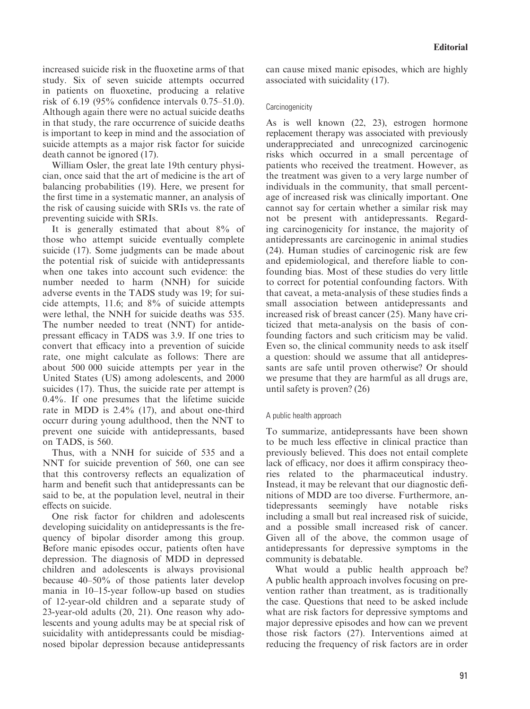increased suicide risk in the fluoxetine arms of that study. Six of seven suicide attempts occurred in patients on fluoxetine, producing a relative risk of 6.19 (95% confidence intervals 0.75–51.0). Although again there were no actual suicide deaths in that study, the rare occurrence of suicide deaths is important to keep in mind and the association of suicide attempts as a major risk factor for suicide death cannot be ignored (17).

William Osler, the great late 19th century physician, once said that the art of medicine is the art of balancing probabilities (19). Here, we present for the first time in a systematic manner, an analysis of the risk of causing suicide with SRIs vs. the rate of preventing suicide with SRIs.

It is generally estimated that about 8% of those who attempt suicide eventually complete suicide (17). Some judgments can be made about the potential risk of suicide with antidepressants when one takes into account such evidence: the number needed to harm (NNH) for suicide adverse events in the TADS study was 19; for suicide attempts, 11.6; and 8% of suicide attempts were lethal, the NNH for suicide deaths was 535. The number needed to treat (NNT) for antidepressant efficacy in TADS was 3.9. If one tries to convert that efficacy into a prevention of suicide rate, one might calculate as follows: There are about 500 000 suicide attempts per year in the United States (US) among adolescents, and 2000 suicides (17). Thus, the suicide rate per attempt is 0.4%. If one presumes that the lifetime suicide rate in MDD is 2.4% (17), and about one-third occurr during young adulthood, then the NNT to prevent one suicide with antidepressants, based on TADS, is 560.

Thus, with a NNH for suicide of 535 and a NNT for suicide prevention of 560, one can see that this controversy reflects an equalization of harm and benefit such that antidepressants can be said to be, at the population level, neutral in their effects on suicide.

One risk factor for children and adolescents developing suicidality on antidepressants is the frequency of bipolar disorder among this group. Before manic episodes occur, patients often have depression. The diagnosis of MDD in depressed children and adolescents is always provisional because 40–50% of those patients later develop mania in 10–15-year follow-up based on studies of 12-year-old children and a separate study of 23-year-old adults (20, 21). One reason why adolescents and young adults may be at special risk of suicidality with antidepressants could be misdiagnosed bipolar depression because antidepressants can cause mixed manic episodes, which are highly associated with suicidality (17).

#### **Carcinogenicity**

As is well known (22, 23), estrogen hormone replacement therapy was associated with previously underappreciated and unrecognized carcinogenic risks which occurred in a small percentage of patients who received the treatment. However, as the treatment was given to a very large number of individuals in the community, that small percentage of increased risk was clinically important. One cannot say for certain whether a similar risk may not be present with antidepressants. Regarding carcinogenicity for instance, the majority of antidepressants are carcinogenic in animal studies (24). Human studies of carcinogenic risk are few and epidemiological, and therefore liable to confounding bias. Most of these studies do very little to correct for potential confounding factors. With that caveat, a meta-analysis of these studies finds a small association between antidepressants and increased risk of breast cancer (25). Many have criticized that meta-analysis on the basis of confounding factors and such criticism may be valid. Even so, the clinical community needs to ask itself a question: should we assume that all antidepressants are safe until proven otherwise? Or should we presume that they are harmful as all drugs are, until safety is proven? (26)

#### A public health approach

To summarize, antidepressants have been shown to be much less effective in clinical practice than previously believed. This does not entail complete lack of efficacy, nor does it affirm conspiracy theories related to the pharmaceutical industry. Instead, it may be relevant that our diagnostic definitions of MDD are too diverse. Furthermore, antidepressants seemingly have notable risks including a small but real increased risk of suicide, and a possible small increased risk of cancer. Given all of the above, the common usage of antidepressants for depressive symptoms in the community is debatable.

What would a public health approach be? A public health approach involves focusing on prevention rather than treatment, as is traditionally the case. Questions that need to be asked include what are risk factors for depressive symptoms and major depressive episodes and how can we prevent those risk factors (27). Interventions aimed at reducing the frequency of risk factors are in order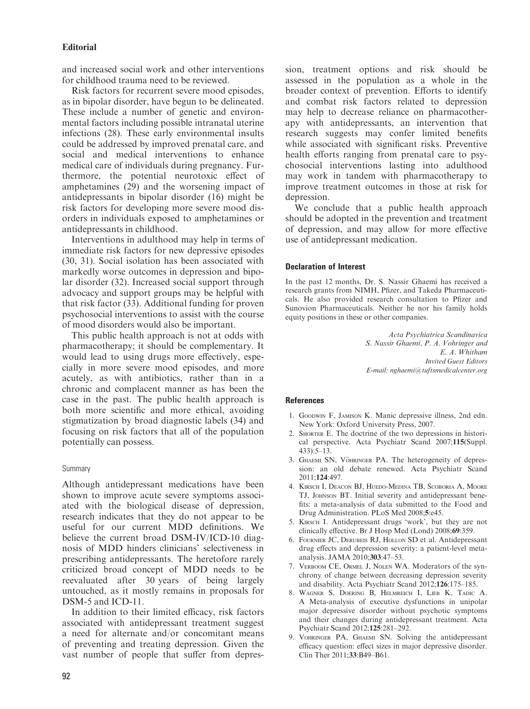#### **Editorial**

and increased social work and other interventions for childhood trauma need to be reviewed.

Risk factors for recurrent severe mood episodes, as in bipolar disorder, have begun to be delineated. These include a number of genetic and environmental factors including possible intranatal uterine infections (28). These early environmental insults could be addressed by improved prenatal care, and social and medical interventions to enhance medical care of individuals during pregnancy. Furthermore, the potential neurotoxic effect of amphetamines (29) and the worsening impact of antidepressants in bipolar disorder (16) might be risk factors for developing more severe mood disorders in individuals exposed to amphetamines or antidepressants in childhood.

Interventions in adulthood may help in terms of immediate risk factors for new depressive episodes (30, 31). Social isolation has been associated with markedly worse outcomes in depression and bipolar disorder (32). Increased social support through advocacy and support groups may be helpful with that risk factor (33). Additional funding for proven psychosocial interventions to assist with the course of mood disorders would also be important.

This public health approach is not at odds with pharmacotherapy; it should be complementary. It would lead to using drugs more effectively, especially in more severe mood episodes, and more acutely, as with antibiotics, rather than in a chronic and complacent manner as has been the case in the past. The public health approach is both more scientific and more ethical, avoiding stigmatization by broad diagnostic labels (34) and focusing on risk factors that all of the population potentially can possess.

#### Summary

Although antidepressant medications have been shown to improve acute severe symptoms associated with the biological disease of depression, research indicates that they do not appear to be useful for our current MDD definitions. We believe the current broad DSM-IV/ICD-10 diagnosis of MDD hinders clinicians' selectiveness in prescribing antidepressants. The heretofore rarely criticized broad concept of MDD needs to be reevaluated after 30 years of being largely untouched, as it mostly remains in proposals for DSM-5 and ICD-11.

In addition to their limited efficacy, risk factors associated with antidepressant treatment suggest a need for alternate and/or concomitant means of preventing and treating depression. Given the vast number of people that suffer from depression, treatment options and risk should be assessed in the population as a whole in the broader context of prevention. Efforts to identify and combat risk factors related to depression may help to decrease reliance on pharmacotherapy with antidepressants, an intervention that research suggests may confer limited benefits while associated with significant risks. Preventive health efforts ranging from prenatal care to psychosocial interventions lasting into adulthood may work in tandem with pharmacotherapy to improve treatment outcomes in those at risk for depression.

We conclude that a public health approach should be adopted in the prevention and treatment of depression, and may allow for more effective use of antidepressant medication.

#### Declaration of Interest

In the past 12 months, Dr. S. Nassir Ghaemi has received a research grants from NIMH, Pfizer, and Takeda Pharmaceuticals. He also provided research consultation to Pfizer and Sunovion Pharmaceuticals. Neither he nor his family holds equity positions in these or other companies.

> Acta Psychiatrica Scandinavica S. Nassir Ghaemi, P. A. Vohringer and E. A. Whitham Invited Guest Editors E-mail: nghaemi@tuftsmedicalcenter.org

#### **References**

- 1. Goodwin F, Jamison K. Manic depressive illness, 2nd edn. New York: Oxford University Press, 2007.
- 2. Shorter E. The doctrine of the two depressions in historical perspective. Acta Psychiatr Scand 2007;115(Suppl. 433):5–13.
- 3. GHAEMI SN, VÖHRINGER PA. The heterogeneity of depression: an old debate renewed. Acta Psychiatr Scand 2011;124:497.
- 4. Kirsch I, Deacon BJ, Huedo-Medina TB, Scoboria A, Moore TJ, Johnson BT. Initial severity and antidepressant benefits: a meta-analysis of data submitted to the Food and Drug Administration. PLoS Med 2008;5:e45.
- 5. Kirsch I. Antidepressant drugs 'work', but they are not clinically effective. Br J Hosp Med (Lond) 2008;69:359.
- 6. Fournier JC, Derubeis RJ, Hollon SD et al. Antidepressant drug effects and depression severity: a patient-level metaanalysis. JAMA 2010;303:47–53.
- 7. Verboom CE, Ormel J, Nolen WA. Moderators of the synchrony of change between decreasing depression severity and disability. Acta Psychiatr Scand 2012;126:175–185.
- 8. Wagner S, Doering B, Helmreich I, Lieb K, Tadic A. A Meta-analysis of executive dysfunctions in unipolar major depressive disorder without psychotic symptoms and their changes during antidepressant treatment. Acta Psychiatr Scand 2012;125:281–292.
- 9. Vohringer PA, Ghaemi SN. Solving the antidepressant efficacy question: effect sizes in major depressive disorder. Clin Ther 2011;33:B49–B61.